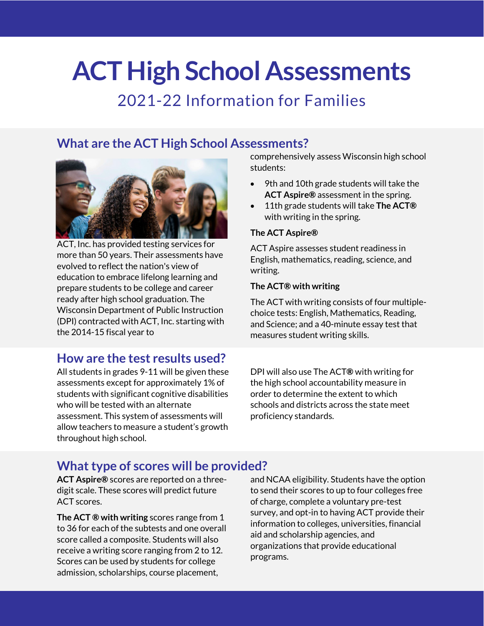# **ACT High School Assessments**

## 2021-22 Information for Families

## **What are the ACT High School Assessments?**



ACT, Inc. has provided testing services for more than 50 years. Their assessments have evolved to reflect the nation's view of education to embrace lifelong learning and prepare students to be college and career ready after high school graduation. The Wisconsin Department of Public Instruction (DPI) contracted with ACT, Inc. starting with the 2014-15 fiscal year to

## **How are the test results used?**

All students in grades 9-11 will be given these assessments except for approximately 1% of students with significant cognitive disabilities who will be tested with an alternate assessment. This system of assessments will allow teachers to measure a student's growth throughout high school.

comprehensively assess Wisconsin high school students:

- 9th and 10th grade students will take the **ACT Aspire®** assessment in the spring.
- 11th grade students will take **The ACT®** with writing in the spring.

#### **The ACT Aspire®**

ACT Aspire assesses student readiness in English, mathematics, reading, science, and writing.

#### **The ACT® with writing**

The ACT with writing consists of four multiplechoice tests: English, Mathematics, Reading, and Science; and a 40-minute essay test that measures student writing skills.

DPI will also use The ACT**®** with writing for the high school accountability measure in order to determine the extent to which schools and districts across the state meet proficiency standards.

### **What type of scores will be provided?**

**ACT Aspire®** scores are reported on a threedigit scale. These scores will predict future ACT scores.

**The ACT ® with writing** scores range from 1 to 36 for each of the subtests and one overall score called a composite. Students will also receive a writing score ranging from 2 to 12. Scores can be used by students for college admission, scholarships, course placement,

and NCAA eligibility. Students have the option to send their scores to up to four colleges free of charge, complete a voluntary pre-test survey, and opt-in to having ACT provide their information to colleges, universities, financial aid and scholarship agencies, and organizations that provide educational programs.